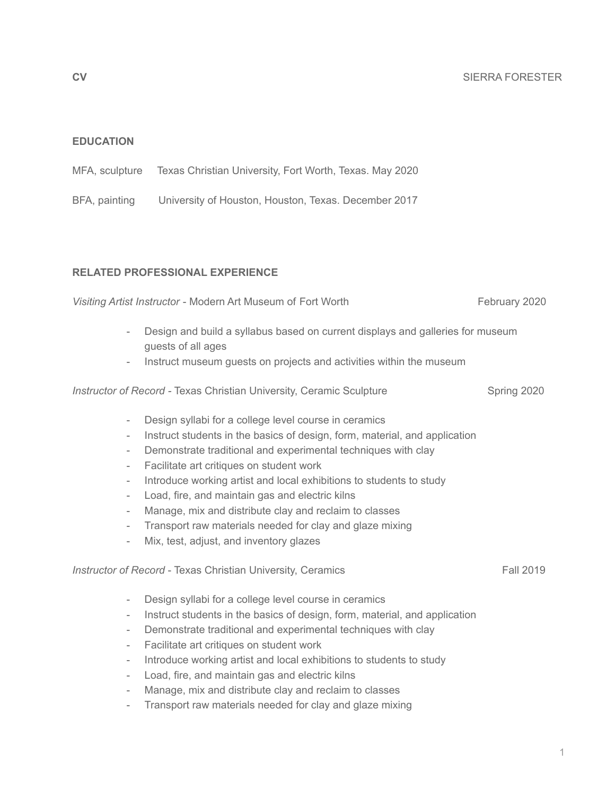1

### **EDUCATION**

| MFA, sculpture | Texas Christian University, Fort Worth, Texas. May 2020 |  |  |  |
|----------------|---------------------------------------------------------|--|--|--|
|                |                                                         |  |  |  |

BFA, painting University of Houston, Houston, Texas. December 2017

## **RELATED PROFESSIONAL EXPERIENCE**

# - Design and build a syllabus based on current displays and galleries for museum

- guests of all ages
- Instruct museum guests on projects and activities within the museum

*Instructor of Record - Texas Christian University, Ceramic Sculpture* Spring 2020 Spring 2020

- Design syllabi for a college level course in ceramics
- Instruct students in the basics of design, form, material, and application
- Demonstrate traditional and experimental techniques with clay
- Facilitate art critiques on student work
- Introduce working artist and local exhibitions to students to study
- Load, fire, and maintain gas and electric kilns
- Manage, mix and distribute clay and reclaim to classes
- Transport raw materials needed for clay and glaze mixing
- Mix, test, adjust, and inventory glazes

## *Instructor of Record* - Texas Christian University, Ceramics **Fall 2019** Fall 2019

- Design syllabi for a college level course in ceramics
- Instruct students in the basics of design, form, material, and application
- Demonstrate traditional and experimental techniques with clay
- Facilitate art critiques on student work
- Introduce working artist and local exhibitions to students to study
- Load, fire, and maintain gas and electric kilns
- Manage, mix and distribute clay and reclaim to classes
- Transport raw materials needed for clay and glaze mixing

*Visiting Artist Instructor* - Modern Art Museum of Fort Worth February 2020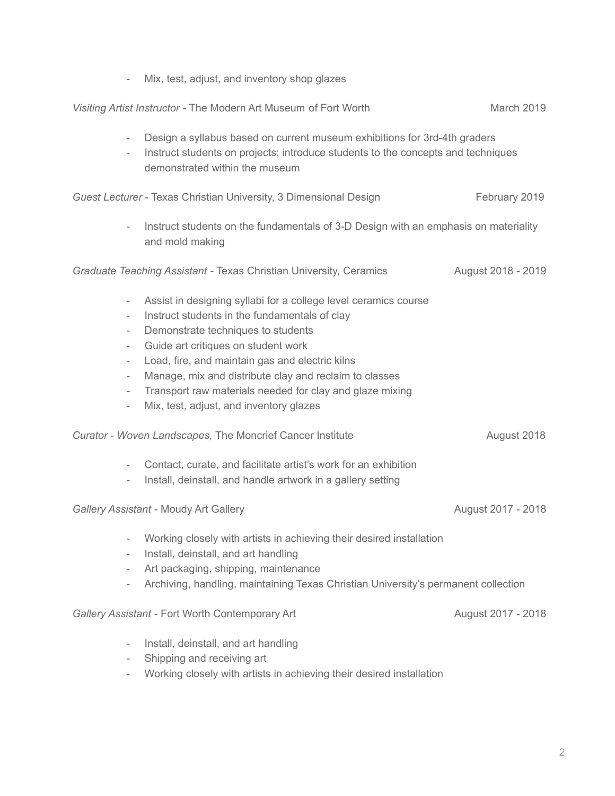|                                                                                                                                                                                                                              | Mix, test, adjust, and inventory shop glazes                                                                                                                                                                                                                                                                                                                                                                      |                    |
|------------------------------------------------------------------------------------------------------------------------------------------------------------------------------------------------------------------------------|-------------------------------------------------------------------------------------------------------------------------------------------------------------------------------------------------------------------------------------------------------------------------------------------------------------------------------------------------------------------------------------------------------------------|--------------------|
|                                                                                                                                                                                                                              | Visiting Artist Instructor - The Modern Art Museum of Fort Worth                                                                                                                                                                                                                                                                                                                                                  | March 2019         |
| $\overline{\phantom{0}}$<br>$\overline{\phantom{a}}$                                                                                                                                                                         | Design a syllabus based on current museum exhibitions for 3rd-4th graders<br>Instruct students on projects; introduce students to the concepts and techniques<br>demonstrated within the museum                                                                                                                                                                                                                   |                    |
|                                                                                                                                                                                                                              | Guest Lecturer - Texas Christian University, 3 Dimensional Design                                                                                                                                                                                                                                                                                                                                                 | February 2019      |
|                                                                                                                                                                                                                              | Instruct students on the fundamentals of 3-D Design with an emphasis on materiality<br>and mold making                                                                                                                                                                                                                                                                                                            |                    |
|                                                                                                                                                                                                                              | Graduate Teaching Assistant - Texas Christian University, Ceramics                                                                                                                                                                                                                                                                                                                                                | August 2018 - 2019 |
| $\overline{\phantom{a}}$<br>$\overline{\phantom{0}}$<br>$\overline{\phantom{a}}$<br>$\overline{\phantom{a}}$<br>$\overline{\phantom{0}}$<br>$\overline{\phantom{a}}$<br>$\overline{\phantom{a}}$<br>$\overline{\phantom{a}}$ | Assist in designing syllabi for a college level ceramics course<br>Instruct students in the fundamentals of clay<br>Demonstrate techniques to students<br>Guide art critiques on student work<br>Load, fire, and maintain gas and electric kilns<br>Manage, mix and distribute clay and reclaim to classes<br>Transport raw materials needed for clay and glaze mixing<br>Mix, test, adjust, and inventory glazes |                    |
| Curator - Woven Landscapes, The Moncrief Cancer Institute<br>August 2018                                                                                                                                                     |                                                                                                                                                                                                                                                                                                                                                                                                                   |                    |
| $\overline{\phantom{0}}$                                                                                                                                                                                                     | Contact, curate, and facilitate artist's work for an exhibition<br>Install, deinstall, and handle artwork in a gallery setting                                                                                                                                                                                                                                                                                    |                    |
| Gallery Assistant - Moudy Art Gallery                                                                                                                                                                                        |                                                                                                                                                                                                                                                                                                                                                                                                                   | August 2017 - 2018 |
|                                                                                                                                                                                                                              | Working closely with artists in achieving their desired installation<br>Install, deinstall, and art handling<br>Art packaging, shipping, maintenance<br>Archiving, handling, maintaining Texas Christian University's permanent collection                                                                                                                                                                        |                    |
|                                                                                                                                                                                                                              | Gallery Assistant - Fort Worth Contemporary Art                                                                                                                                                                                                                                                                                                                                                                   | August 2017 - 2018 |
|                                                                                                                                                                                                                              | Install, deinstall, and art handling<br>Shipping and receiving art                                                                                                                                                                                                                                                                                                                                                |                    |

- Working closely with artists in achieving their desired installation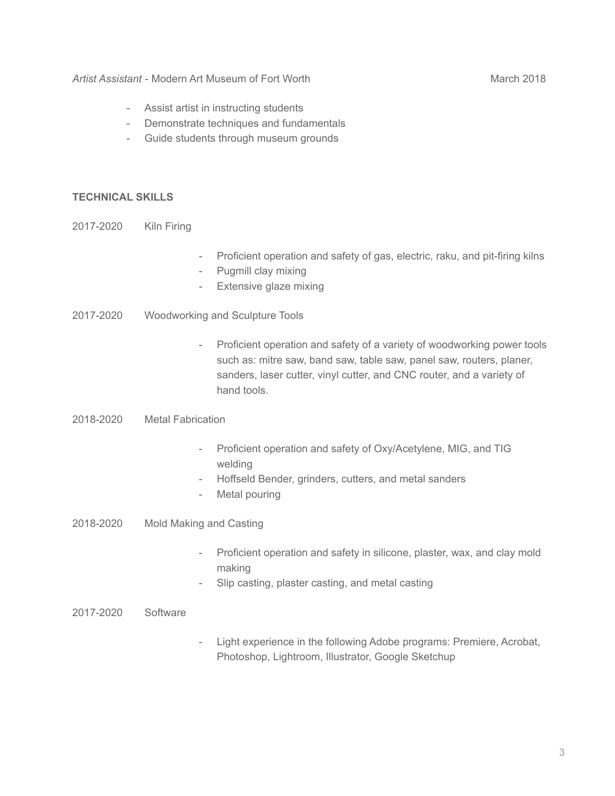- Assist artist in instructing students
- Demonstrate techniques and fundamentals
- Guide students through museum grounds

## **TECHNICAL SKILLS**

- 2017-2020 Kiln Firing
- Proficient operation and safety of gas, electric, raku, and pit-firing kilns
- Pugmill clay mixing
- Extensive glaze mixing
- 2017-2020 Woodworking and Sculpture Tools
	- Proficient operation and safety of a variety of woodworking power tools such as: mitre saw, band saw, table saw, panel saw, routers, planer, sanders, laser cutter, vinyl cutter, and CNC router, and a variety of hand tools.
- 2018-2020 Metal Fabrication
	- Proficient operation and safety of Oxy/Acetylene, MIG, and TIG welding
	- Hoffseld Bender, grinders, cutters, and metal sanders
	- Metal pouring
- 2018-2020 Mold Making and Casting
	- Proficient operation and safety in silicone, plaster, wax, and clay mold making
	- Slip casting, plaster casting, and metal casting
- 2017-2020 Software
- Light experience in the following Adobe programs: Premiere, Acrobat, Photoshop, Lightroom, Illustrator, Google Sketchup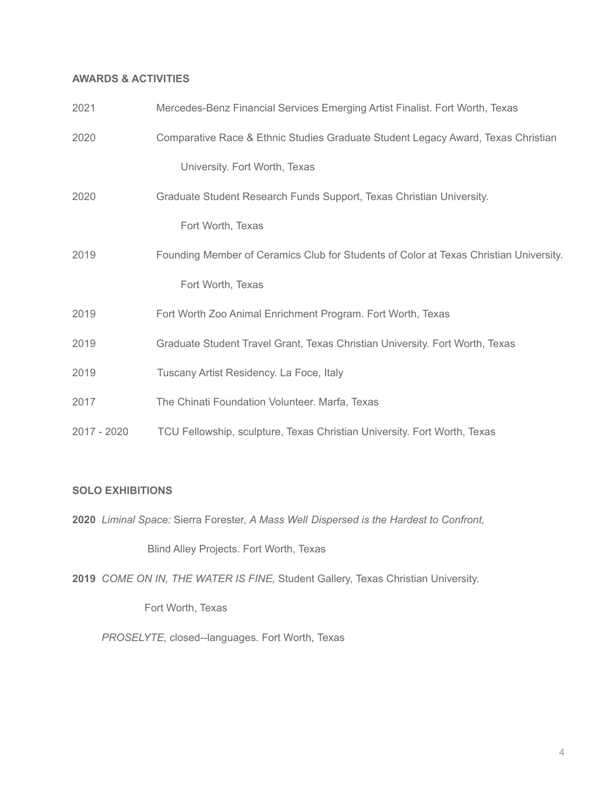## **AWARDS & ACTIVITIES**

| 2021        | Mercedes-Benz Financial Services Emerging Artist Finalist. Fort Worth, Texas          |
|-------------|---------------------------------------------------------------------------------------|
| 2020        | Comparative Race & Ethnic Studies Graduate Student Legacy Award, Texas Christian      |
|             | University. Fort Worth, Texas                                                         |
| 2020        | Graduate Student Research Funds Support, Texas Christian University.                  |
|             | Fort Worth, Texas                                                                     |
| 2019        | Founding Member of Ceramics Club for Students of Color at Texas Christian University. |
|             | Fort Worth, Texas                                                                     |
| 2019        | Fort Worth Zoo Animal Enrichment Program. Fort Worth, Texas                           |
| 2019        | Graduate Student Travel Grant, Texas Christian University. Fort Worth, Texas          |
| 2019        | Tuscany Artist Residency. La Foce, Italy                                              |
| 2017        | The Chinati Foundation Volunteer. Marfa, Texas                                        |
| 2017 - 2020 | TCU Fellowship, sculpture, Texas Christian University. Fort Worth, Texas              |

#### **SOLO EXHIBITIONS**

**2020** *Liminal Space:* Sierra Forester*, A Mass Well Dispersed is the Hardest to Confront,*

Blind Alley Projects. Fort Worth, Texas

**2019** *COME ON IN, THE WATER IS FINE,* Student Gallery, Texas Christian University.

Fort Worth, Texas

*PROSELYTE,* closed--languages. Fort Worth, Texas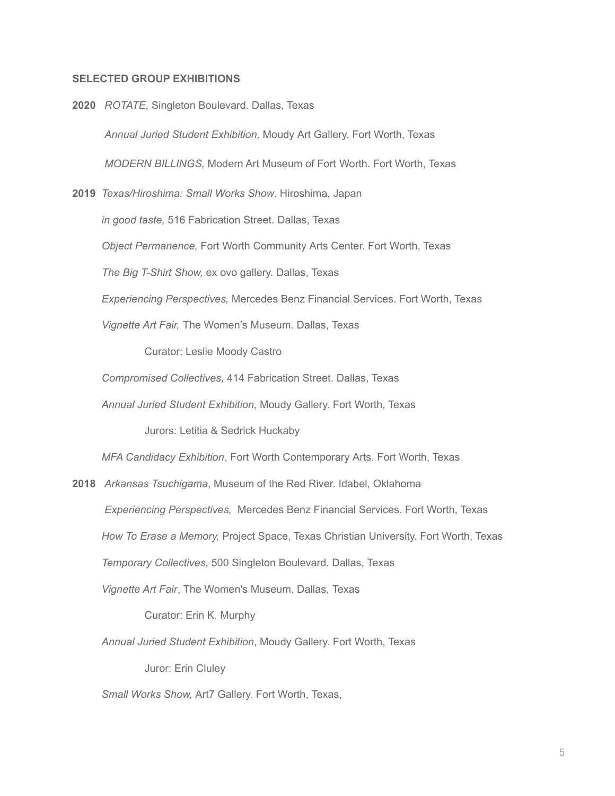### **SELECTED GROUP EXHIBITIONS**

**2020** *ROTATE,* Singleton Boulevard. Dallas, Texas *Annual Juried Student Exhibition,* Moudy Art Gallery. Fort Worth, Texas *MODERN BILLINGS,* Modern Art Museum of Fort Worth. Fort Worth, Texas **2019** *Texas/Hiroshima: Small Works Show*. Hiroshima, Japan *in good taste,* 516 Fabrication Street. Dallas, Texas *Object Permanence,* Fort Worth Community Arts Center. Fort Worth, Texas *The Big T-Shirt Show,* ex ovo gallery. Dallas, Texas *Experiencing Perspectives,* Mercedes Benz Financial Services. Fort Worth, Texas *Vignette Art Fair,* The Women's Museum. Dallas, Texas Curator: Leslie Moody Castro *Compromised Collectives,* 414 Fabrication Street. Dallas, Texas *Annual Juried Student Exhibition,* Moudy Gallery. Fort Worth, Texas Jurors: Letitia & Sedrick Huckaby *MFA Candidacy Exhibition*, Fort Worth Contemporary Arts. Fort Worth, Texas **2018** *Arkansas Tsuchigama*, Museum of the Red River. Idabel, Oklahoma *Experiencing Perspectives,* Mercedes Benz Financial Services. Fort Worth, Texas *How To Erase a Memory,* Project Space, Texas Christian University. Fort Worth, Texas *Temporary Collectives*, 500 Singleton Boulevard. Dallas, Texas *Vignette Art Fair*, The Women's Museum. Dallas, Texas Curator: Erin K. Murphy *Annual Juried Student Exhibition*, Moudy Gallery. Fort Worth, Texas

*Small Works Show,* Art7 Gallery. Fort Worth, Texas,

Juror: Erin Cluley